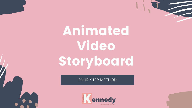Animated **Video** Storyboard

**FOUR STEP METHOD** 

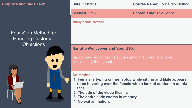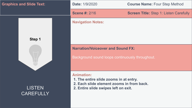| <b>Graphics and Slide Text:</b>   |                                                                                             | Date: 1/9/2020                                                                                                                                   | <b>Course Name: Four Step Method</b>          |
|-----------------------------------|---------------------------------------------------------------------------------------------|--------------------------------------------------------------------------------------------------------------------------------------------------|-----------------------------------------------|
|                                   |                                                                                             | <b>Scene #: 2/16</b>                                                                                                                             | <b>Screen Title: Step 1: Listen Carefully</b> |
| Step 1                            |                                                                                             | <b>Navigation Notes:</b>                                                                                                                         |                                               |
|                                   | <b>Narration/Voiceover and Sound FX:</b><br>Background sound loops continuously throughout. |                                                                                                                                                  |                                               |
| <b>LISTEN</b><br><b>CAREFULLY</b> |                                                                                             | <b>Animation:</b><br>1. The entire slide zooms in at entry.<br>2. Each slide element zooms in from back.<br>2. Entire slide swipes left on exit. |                                               |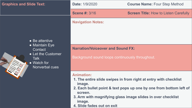| <b>Graphics and Slide Text:</b>                                                                 |                                                                                             | Date: 1/9/2020                                                                 | <b>Course Name: Four Step Method</b>                                                                                                                                                                  |
|-------------------------------------------------------------------------------------------------|---------------------------------------------------------------------------------------------|--------------------------------------------------------------------------------|-------------------------------------------------------------------------------------------------------------------------------------------------------------------------------------------------------|
|                                                                                                 |                                                                                             | <b>Scene #: 3/16</b>                                                           | <b>Screen Title: How to Listen Carefully</b>                                                                                                                                                          |
|                                                                                                 | • Be attentive                                                                              | <b>Navigation Notes:</b>                                                       |                                                                                                                                                                                                       |
| • Maintain Eye<br>Contact<br>• Let the Customer<br><b>Talk</b><br>• Watch for<br>Nonverbal cues | <b>Narration/Voiceover and Sound FX:</b><br>Background sound loops continuously throughout. |                                                                                |                                                                                                                                                                                                       |
|                                                                                                 |                                                                                             | <b>Animation:</b><br>image.<br>screen.<br>image.<br>4. Slide fades out on exit | 1. The entire slide swipes in from right at entry with checklist<br>2. Each bullet point & text pops up one by one from bottom left of<br>3. Arm with magnifying glass image slides in over checklist |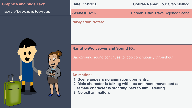| <b>Graphics and Slide Text:</b>       |
|---------------------------------------|
| Image of office setting as background |
| 00<br>$\sqrt{ }$                      |

# **Date:** 1/9/2020 **Course Name:** Four Step Method **Scene #:** 4/16 **Screen Title:** Travel Agency Scene **Navigation Notes: Narration/Voiceover and Sound FX:** Background sound continues to loop continuously throughout.

## **Animation:**

- **1. Scene appears no animation upon entry.**
- **2. Male character is talking with lips and hand movement as female character is standing next to him listening.**
- **3. No exit animation.**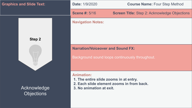| <b>Graphics and Slide Text:</b>  |                                          | Date: 1/9/2020                                                                          | <b>Course Name: Four Step Method</b>                |
|----------------------------------|------------------------------------------|-----------------------------------------------------------------------------------------|-----------------------------------------------------|
|                                  |                                          | <b>Scene #: 5/16</b>                                                                    | <b>Screen Title: Step 2: Acknowledge Objections</b> |
| Step 2                           |                                          | <b>Navigation Notes:</b>                                                                |                                                     |
|                                  | <b>Narration/Voiceover and Sound FX:</b> | Background sound loops continuously throughout.                                         |                                                     |
| Acknowledge<br><b>Objections</b> |                                          | <b>Animation:</b><br>1. The entire slide zooms in at entry.<br>3. No animation at exit. | 2. Each slide element zooms in from back.           |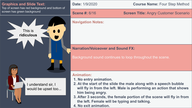

**4. No exit animation.**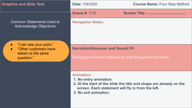| <b>Graphics and Slide Text:</b>                                                     | <b>Date: 1/9/2020</b>                                                                                                     | <b>Course Name: Four Step Method</b>                                  |
|-------------------------------------------------------------------------------------|---------------------------------------------------------------------------------------------------------------------------|-----------------------------------------------------------------------|
|                                                                                     | <b>Scene #: 7/16</b>                                                                                                      | <b>Screen Title:</b> Common Statements Used to Acknowledge Objections |
| <b>Common Statements Used to</b><br><b>Acknowledge Objections</b>                   | <b>Navigation Notes:</b>                                                                                                  |                                                                       |
| "I can see your point."<br>"Other customers have<br>asked us the same<br>question." | <b>Narration/Voiceover and Sound FX:</b><br>Background sound continues to loop throughout the scene.                      |                                                                       |
|                                                                                     | <b>Animation:</b><br>1. No entry animation.<br>screen. Each statement will fly in from the left.<br>3. No exit animation. | 2. At the start of the slide the title and shape are already on the   |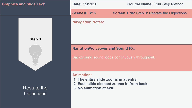| <b>Graphics and Slide Text:</b>         | Date: 1/9/2020                                                                                                                       | <b>Course Name: Four Step Method</b>                |
|-----------------------------------------|--------------------------------------------------------------------------------------------------------------------------------------|-----------------------------------------------------|
|                                         | <b>Scene #: 8/16</b>                                                                                                                 | <b>Screen Title:</b> Step 3: Restate the Objections |
| Step 3                                  | <b>Navigation Notes:</b>                                                                                                             |                                                     |
|                                         | <b>Narration/Voiceover and Sound FX:</b>                                                                                             | Background sound loops continuously throughout.     |
| <b>Restate the</b><br><b>Objections</b> | <b>Animation:</b><br>1. The entire slide zooms in at entry.<br>2. Each slide element zooms in from back.<br>3. No animation at exit. |                                                     |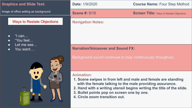| <b>Graphics and Slide Text:</b>       | Date: 1/9/2020                                                                                                                                                                                                                                                                                          | <b>Course Name: Four Step Method</b>            |
|---------------------------------------|---------------------------------------------------------------------------------------------------------------------------------------------------------------------------------------------------------------------------------------------------------------------------------------------------------|-------------------------------------------------|
| Image of office setting as background | <b>Scene #: 9/16</b>                                                                                                                                                                                                                                                                                    | <b>Screen Title:</b> Ways to Restate Objections |
| <b>Ways to Restate Objections</b>     | <b>Navigation Notes:</b>                                                                                                                                                                                                                                                                                |                                                 |
| "I can<br>$\bullet$<br>"You feel      |                                                                                                                                                                                                                                                                                                         |                                                 |
| Let me see<br>You want                | <b>Narration/Voiceover and Sound FX:</b>                                                                                                                                                                                                                                                                |                                                 |
| $\bullet$                             | Background sound continues to loop continuously throughout.                                                                                                                                                                                                                                             |                                                 |
|                                       | <b>Animation:</b><br>1. Scene swipes in from left and male and female are standing<br>with the female talking to the male providing assurance.<br>2. Hand with a writing utensil begins writing the title of the slide.<br>3. Bullet points pop on screen one by one.<br>4. Circle zoom transition out. |                                                 |

 $\parallel$   $\sim$   $\sim$   $\sim$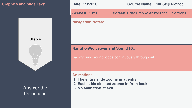| <b>Graphics and Slide Text:</b> | Date: 1/9/2020                                                                          | <b>Course Name: Four Step Method</b>               |
|---------------------------------|-----------------------------------------------------------------------------------------|----------------------------------------------------|
|                                 | <b>Scene #: 10/16</b>                                                                   | <b>Screen Title:</b> Step 4: Answer the Objections |
| Step 4                          | <b>Navigation Notes:</b>                                                                |                                                    |
|                                 | <b>Narration/Voiceover and Sound FX:</b>                                                | Background sound loops continuously throughout.    |
| Answer the<br><b>Objections</b> | <b>Animation:</b><br>1. The entire slide zooms in at entry.<br>3. No animation at exit. | 2. Each slide element zooms in from back.          |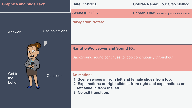| <b>Graphics and Slide Text:</b> |                | Date: 1/9/2020                                                                                                                                                                                              | <b>Course Name: Four Step Method</b>               |
|---------------------------------|----------------|-------------------------------------------------------------------------------------------------------------------------------------------------------------------------------------------------------------|----------------------------------------------------|
|                                 |                | <b>Scene #: 11/16</b>                                                                                                                                                                                       | <b>Screen Title: Answer Objections Explanation</b> |
|                                 |                | <b>Navigation Notes:</b>                                                                                                                                                                                    |                                                    |
| Answer                          | Use objections |                                                                                                                                                                                                             |                                                    |
|                                 |                |                                                                                                                                                                                                             |                                                    |
|                                 | $\odot$        | <b>Narration/Voiceover and Sound FX:</b>                                                                                                                                                                    |                                                    |
|                                 |                | Background sound continues to loop continuously throughout.                                                                                                                                                 |                                                    |
| Get to<br>the<br>bottom         | Consider       | <b>Animation:</b><br>1. Scene swipes in from left and female slides from top.<br>2. Explanations on right slide in from right and explanations on<br>left slide in from the left.<br>3. No exit transition. |                                                    |
|                                 |                |                                                                                                                                                                                                             |                                                    |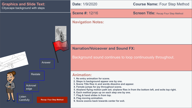#### **Graphics and Slide Text:** Cityscape background with steps

**Date:** 1/9/2020 **Course Name:** Four Step Method

**Scene #:** 12/16 **Screen Title:** Recap Four Step Method

#### **Navigation Notes:**

### **Narration/Voiceover and Sound FX:**

Background sound continues to loop continuously throughout.

#### **Animation:**

- **1. No entry animation for scene.**
- **2. Steps in background appear one by one.**
- **3. Scene Title flies in and words dissolve and appear.**
- **4. Female jumps for joy throughout scene.**
- **5. Airplane flying motion path set; airplane flies in from the bottom left, and exits top right.**
- **6. Each method pops up on each step one by one.**
- **7. Flag & hand slides in from top.**
- **8. Flag moving animation.**
- **9. Scene zooms back towards center for exit.**

 $\odot$ Listen **Carefully** 

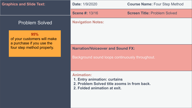| <b>Graphics and Slide Text:</b>                                 | <b>Date: 1/9/2020</b>                                                                                                            | <b>Course Name: Four Step Method</b>            |
|-----------------------------------------------------------------|----------------------------------------------------------------------------------------------------------------------------------|-------------------------------------------------|
|                                                                 | <b>Scene #: 13/16</b>                                                                                                            | <b>Screen Title: Problem Solved</b>             |
| <b>Problem Solved</b>                                           | <b>Navigation Notes:</b>                                                                                                         |                                                 |
| 95%<br>of your customers will make<br>a purchase if you use the |                                                                                                                                  |                                                 |
| four step method properly.                                      | <b>Narration/Voiceover and Sound FX:</b>                                                                                         |                                                 |
|                                                                 |                                                                                                                                  | Background sound loops continuously throughout. |
|                                                                 | <b>Animation:</b><br>1. Entry animation: curtains<br>2. Problem Solved title zooms in from back.<br>2. Folded animation at exit. |                                                 |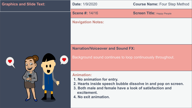| <b>Graphics and Slide Text:</b> | Date: 1/9/2020                                                                                                                                                                                                      | <b>Course Name: Four Step Method</b> |
|---------------------------------|---------------------------------------------------------------------------------------------------------------------------------------------------------------------------------------------------------------------|--------------------------------------|
|                                 | <b>Scene #: 14/16</b>                                                                                                                                                                                               | <b>Screen Title: Happy People</b>    |
|                                 | <b>Navigation Notes:</b>                                                                                                                                                                                            |                                      |
|                                 | <b>Narration/Voiceover and Sound FX:</b>                                                                                                                                                                            |                                      |
| $\mathbf{\Omega}$               | Background sound continues to loop continuously throughout.                                                                                                                                                         |                                      |
|                                 | <b>Animation:</b><br>1. No animation for entry.<br>2. Hearts inside speech bubble dissolve in and pop on screen.<br>3. Both male and female have a look of satisfaction and<br>excitement.<br>4. No exit animation. |                                      |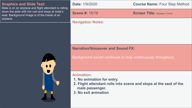| <b>Graphics and Slide Text:</b><br>Male is on an airplane and flight attendant is rolling                      | <b>Date: 1/9/2020</b>                                                                                                | <b>Course Name: Four Step Method</b> |
|----------------------------------------------------------------------------------------------------------------|----------------------------------------------------------------------------------------------------------------------|--------------------------------------|
| down the aisle with her cart and stops at male's<br>seat. Background image is of the inside of an<br>airplane. | <b>Scene #: 15/16</b>                                                                                                | <b>Screen Title: Airplane Travel</b> |
|                                                                                                                | <b>Navigation Notes:</b>                                                                                             |                                      |
|                                                                                                                |                                                                                                                      |                                      |
|                                                                                                                |                                                                                                                      |                                      |
|                                                                                                                | <b>Narration/Voiceover and Sound FX:</b>                                                                             |                                      |
|                                                                                                                | Background sound continues to loop continuously throughout.                                                          |                                      |
|                                                                                                                |                                                                                                                      |                                      |
|                                                                                                                | <b>Animation:</b><br>1. No animation for entry.<br>2. Flight attendant rolls into scene and stops at the seat of the |                                      |

**male passenger. 3. No exit animation**

П